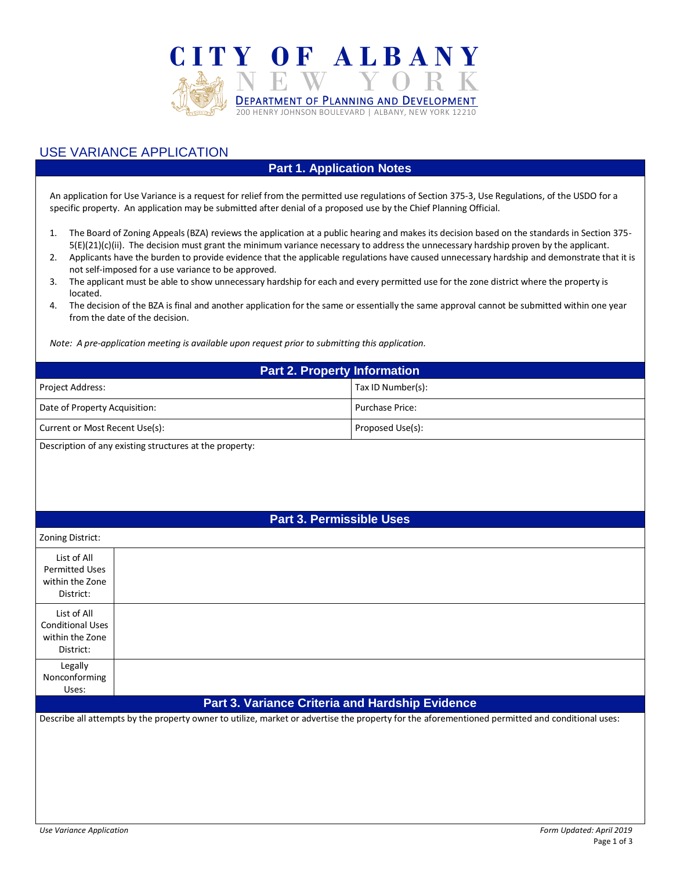

## USE VARIANCE APPLICATION

## **Part 1. Application Notes**

An application for Use Variance is a request for relief from the permitted use regulations of Section 375-3, Use Regulations, of the USDO for a specific property. An application may be submitted after denial of a proposed use by the Chief Planning Official.

- 1. The Board of Zoning Appeals (BZA) reviews the application at a public hearing and makes its decision based on the standards in Section 375- 5(E)(21)(c)(ii). The decision must grant the minimum variance necessary to address the unnecessary hardship proven by the applicant.
- 2. Applicants have the burden to provide evidence that the applicable regulations have caused unnecessary hardship and demonstrate that it is not self-imposed for a use variance to be approved.
- 3. The applicant must be able to show unnecessary hardship for each and every permitted use for the zone district where the property is located.
- 4. The decision of the BZA is final and another application for the same or essentially the same approval cannot be submitted within one year from the date of the decision.

*Note: A pre-application meeting is available upon request prior to submitting this application.*

| <b>Part 2. Property Information</b>                     |                        |  |  |  |
|---------------------------------------------------------|------------------------|--|--|--|
| Project Address:                                        | Tax ID Number(s):      |  |  |  |
| Date of Property Acquisition:                           | <b>Purchase Price:</b> |  |  |  |
| Current or Most Recent Use(s):                          | Proposed Use(s):       |  |  |  |
| Description of any existing structures at the property. |                        |  |  |  |

 $\operatorname{scr}$ iption of any existing structures at the property:

## **Part 3. Permissible Uses**

| Zoning District:                                                       |                                                                                                                                                 |  |  |  |
|------------------------------------------------------------------------|-------------------------------------------------------------------------------------------------------------------------------------------------|--|--|--|
| List of All<br><b>Permitted Uses</b><br>within the Zone<br>District:   |                                                                                                                                                 |  |  |  |
| List of All<br><b>Conditional Uses</b><br>within the Zone<br>District: |                                                                                                                                                 |  |  |  |
| Legally<br>Nonconforming<br>Uses:                                      |                                                                                                                                                 |  |  |  |
| <b>Part 3. Variance Criteria and Hardship Evidence</b>                 |                                                                                                                                                 |  |  |  |
|                                                                        | Describe all attempts by the property owner to utilize, market or advertise the property for the aforementioned permitted and conditional uses: |  |  |  |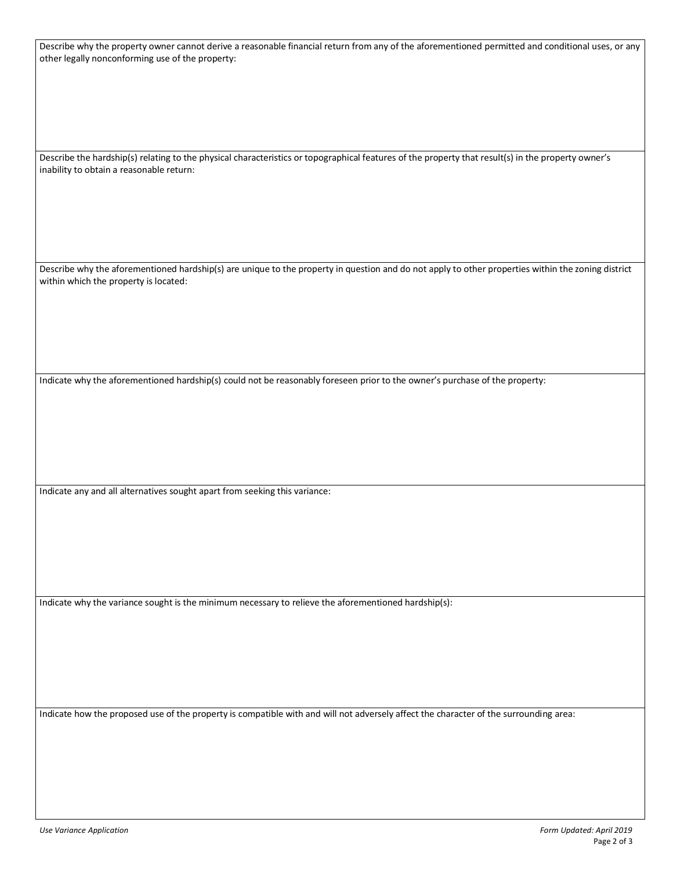| Describe why the property owner cannot derive a reasonable financial return from any of the aforementioned permitted and conditional uses, or any  |
|----------------------------------------------------------------------------------------------------------------------------------------------------|
|                                                                                                                                                    |
| other legally nonconforming use of the property:                                                                                                   |
|                                                                                                                                                    |
|                                                                                                                                                    |
|                                                                                                                                                    |
|                                                                                                                                                    |
|                                                                                                                                                    |
|                                                                                                                                                    |
|                                                                                                                                                    |
|                                                                                                                                                    |
|                                                                                                                                                    |
|                                                                                                                                                    |
|                                                                                                                                                    |
|                                                                                                                                                    |
| Describe the hardship(s) relating to the physical characteristics or topographical features of the property that result(s) in the property owner's |
| inability to obtain a reasonable return:                                                                                                           |
|                                                                                                                                                    |
|                                                                                                                                                    |
|                                                                                                                                                    |
|                                                                                                                                                    |
|                                                                                                                                                    |
|                                                                                                                                                    |
|                                                                                                                                                    |
|                                                                                                                                                    |
|                                                                                                                                                    |
|                                                                                                                                                    |
|                                                                                                                                                    |
|                                                                                                                                                    |
| Describe why the aforementioned hardship(s) are unique to the property in question and do not apply to other properties within the zoning district |
| within which the property is located:                                                                                                              |
|                                                                                                                                                    |
|                                                                                                                                                    |
|                                                                                                                                                    |
|                                                                                                                                                    |
|                                                                                                                                                    |
|                                                                                                                                                    |
|                                                                                                                                                    |
|                                                                                                                                                    |
|                                                                                                                                                    |
|                                                                                                                                                    |
|                                                                                                                                                    |
|                                                                                                                                                    |
| Indicate why the aforementioned hardship(s) could not be reasonably foreseen prior to the owner's purchase of the property:                        |
|                                                                                                                                                    |
|                                                                                                                                                    |
|                                                                                                                                                    |
|                                                                                                                                                    |
|                                                                                                                                                    |
|                                                                                                                                                    |
|                                                                                                                                                    |
|                                                                                                                                                    |
|                                                                                                                                                    |
|                                                                                                                                                    |
|                                                                                                                                                    |
|                                                                                                                                                    |
|                                                                                                                                                    |
| Indicate any and all alternatives sought apart from seeking this variance:                                                                         |
|                                                                                                                                                    |
|                                                                                                                                                    |
|                                                                                                                                                    |
|                                                                                                                                                    |
|                                                                                                                                                    |
|                                                                                                                                                    |
|                                                                                                                                                    |
|                                                                                                                                                    |
|                                                                                                                                                    |
|                                                                                                                                                    |
|                                                                                                                                                    |
|                                                                                                                                                    |
|                                                                                                                                                    |
|                                                                                                                                                    |
|                                                                                                                                                    |
| Indicate why the variance sought is the minimum necessary to relieve the aforementioned hardship(s):                                               |
|                                                                                                                                                    |
|                                                                                                                                                    |
|                                                                                                                                                    |
|                                                                                                                                                    |
|                                                                                                                                                    |
|                                                                                                                                                    |
|                                                                                                                                                    |
|                                                                                                                                                    |
|                                                                                                                                                    |
|                                                                                                                                                    |
|                                                                                                                                                    |
|                                                                                                                                                    |
|                                                                                                                                                    |
|                                                                                                                                                    |
| Indicate how the proposed use of the property is compatible with and will not adversely affect the character of the surrounding area:              |
|                                                                                                                                                    |
|                                                                                                                                                    |
|                                                                                                                                                    |
|                                                                                                                                                    |
|                                                                                                                                                    |
|                                                                                                                                                    |
|                                                                                                                                                    |
|                                                                                                                                                    |
|                                                                                                                                                    |